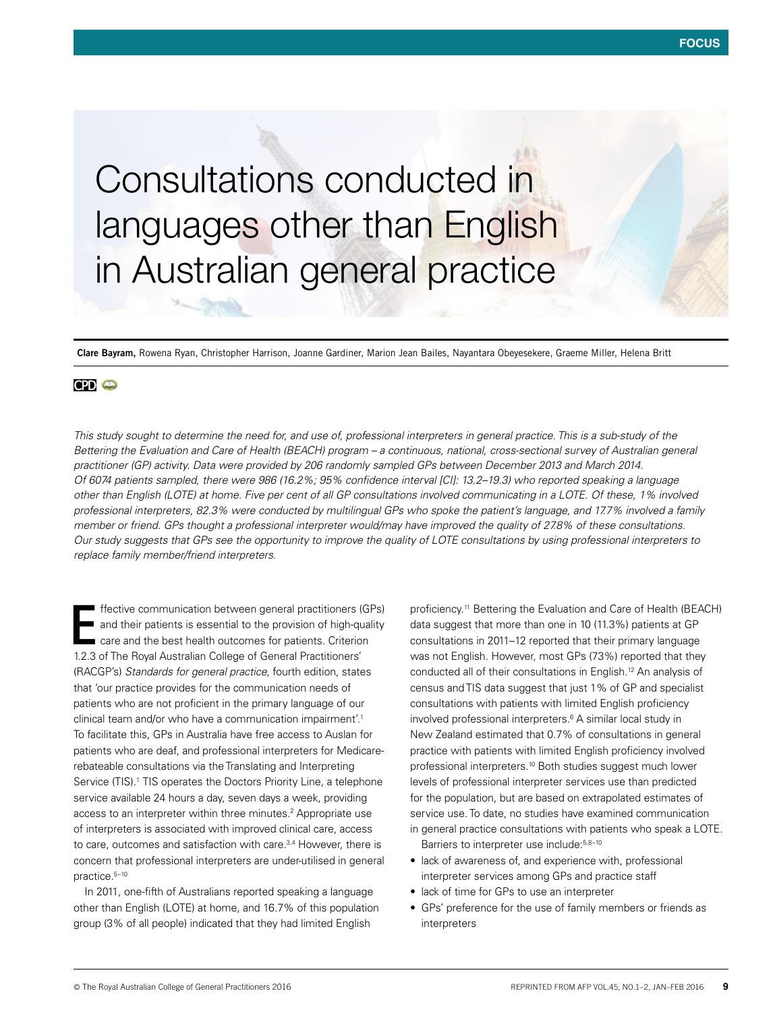# Consultations conducted in languages other than English in Australian general practice

**Clare Bayram,** Rowena Ryan, Christopher Harrison, Joanne Gardiner, Marion Jean Bailes, Nayantara Obeyesekere, Graeme Miller, Helena Britt

# **CPD @**

*This study sought to determine the need for, and use of, professional interpreters in general practice. This is a sub-study of the Bettering the Evaluation and Care of Health (BEACH) program – a continuous, national, cross-sectional survey of Australian general practitioner (GP) activity. Data were provided by 206 randomly sampled GPs between December 2013 and March 2014. Of 6074 patients sampled, there were 986 (16.2%; 95% confidence interval [CI]: 13.2–19.3) who reported speaking a language other than English (LOTE) at home. Five per cent of all GP consultations involved communicating in a LOTE. Of these, 1% involved professional interpreters, 82.3% were conducted by multilingual GPs who spoke the patient's language, and 17.7% involved a family member or friend. GPs thought a professional interpreter would/may have improved the quality of 27.8% of these consultations. Our study suggests that GPs see the opportunity to improve the quality of LOTE consultations by using professional interpreters to replace family member/friend interpreters.*

ffective communication between general practitioners (GPs) and their patients is essential to the provision of high-quality care and the best health outcomes for patients. Criterion 1.2.3 of The Royal Australian College of General Practitioners' (RACGP's) *Standards for general practice,* fourth edition, states that 'our practice provides for the communication needs of patients who are not proficient in the primary language of our clinical team and/or who have a communication impairment'.1 To facilitate this, GPs in Australia have free access to Auslan for patients who are deaf, and professional interpreters for Medicarerebateable consultations via the Translating and Interpreting Service (TIS).<sup>1</sup> TIS operates the Doctors Priority Line, a telephone service available 24 hours a day, seven days a week, providing access to an interpreter within three minutes.<sup>2</sup> Appropriate use of interpreters is associated with improved clinical care, access to care, outcomes and satisfaction with care.<sup>3,4</sup> However, there is concern that professional interpreters are under-utilised in general practice.5–10 E

In 2011, one-fifth of Australians reported speaking a language other than English (LOTE) at home, and 16.7% of this population group (3% of all people) indicated that they had limited English

proficiency.11 Bettering the Evaluation and Care of Health (BEACH) data suggest that more than one in 10 (11.3%) patients at GP consultations in 2011–12 reported that their primary language was not English. However, most GPs (73%) reported that they conducted all of their consultations in English.12 An analysis of census and TIS data suggest that just 1% of GP and specialist consultations with patients with limited English proficiency involved professional interpreters.<sup>6</sup> A similar local study in New Zealand estimated that 0.7% of consultations in general practice with patients with limited English proficiency involved professional interpreters.10 Both studies suggest much lower levels of professional interpreter services use than predicted for the population, but are based on extrapolated estimates of service use. To date, no studies have examined communication in general practice consultations with patients who speak a LOTE. Barriers to interpreter use include: 5,8-10

- lack of awareness of, and experience with, professional interpreter services among GPs and practice staff
- lack of time for GPs to use an interpreter
- GPs' preference for the use of family members or friends as interpreters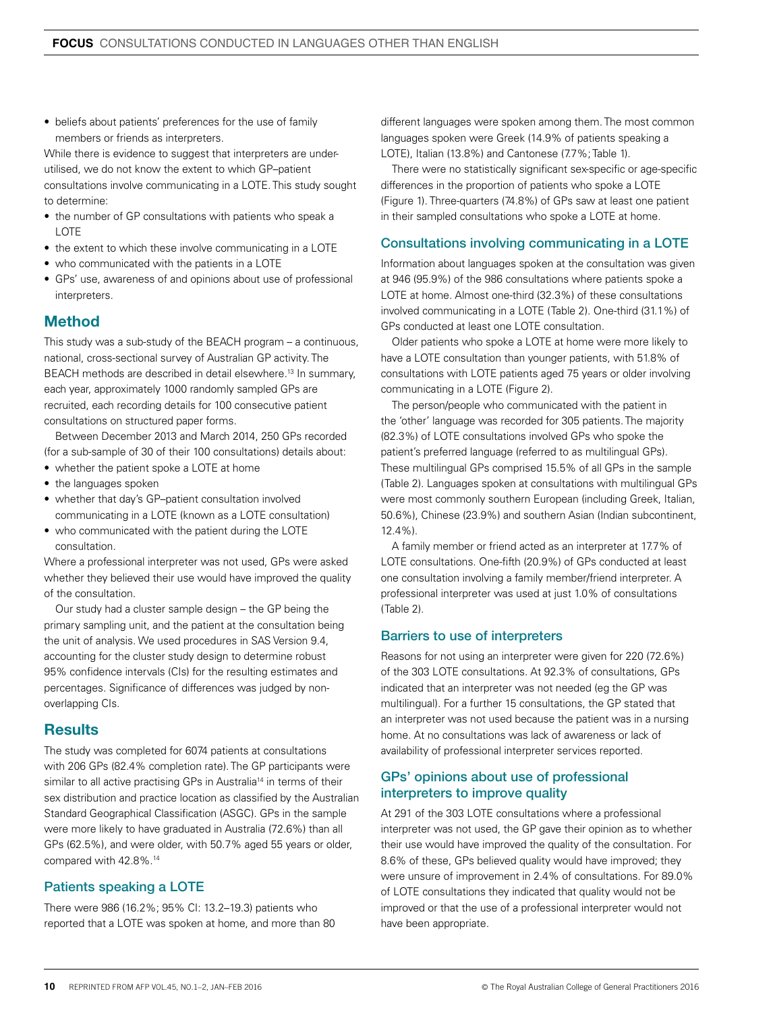• beliefs about patients' preferences for the use of family members or friends as interpreters.

While there is evidence to suggest that interpreters are underutilised, we do not know the extent to which GP–patient consultations involve communicating in a LOTE. This study sought to determine:

- the number of GP consultations with patients who speak a LOTE
- the extent to which these involve communicating in a LOTE
- who communicated with the patients in a LOTE
- GPs' use, awareness of and opinions about use of professional interpreters.

# Method

This study was a sub-study of the BEACH program – a continuous, national, cross-sectional survey of Australian GP activity. The BEACH methods are described in detail elsewhere.13 In summary, each year, approximately 1000 randomly sampled GPs are recruited, each recording details for 100 consecutive patient consultations on structured paper forms.

Between December 2013 and March 2014, 250 GPs recorded (for a sub-sample of 30 of their 100 consultations) details about:

- whether the patient spoke a LOTE at home
- the languages spoken
- whether that day's GP–patient consultation involved communicating in a LOTE (known as a LOTE consultation)
- who communicated with the patient during the LOTE consultation.

Where a professional interpreter was not used, GPs were asked whether they believed their use would have improved the quality of the consultation.

Our study had a cluster sample design – the GP being the primary sampling unit, and the patient at the consultation being the unit of analysis. We used procedures in SAS Version 9.4, accounting for the cluster study design to determine robust 95% confidence intervals (CIs) for the resulting estimates and percentages. Significance of differences was judged by nonoverlapping CIs.

# **Results**

The study was completed for 6074 patients at consultations with 206 GPs (82.4% completion rate). The GP participants were similar to all active practising GPs in Australia<sup>14</sup> in terms of their sex distribution and practice location as classified by the Australian Standard Geographical Classification (ASGC). GPs in the sample were more likely to have graduated in Australia (72.6%) than all GPs (62.5%), and were older, with 50.7% aged 55 years or older, compared with 42.8%.14

## Patients speaking a LOTE

There were 986 (16.2%; 95% CI: 13.2–19.3) patients who reported that a LOTE was spoken at home, and more than 80

different languages were spoken among them. The most common languages spoken were Greek (14.9% of patients speaking a LOTE), Italian (13.8%) and Cantonese (7.7%; Table 1).

There were no statistically significant sex-specific or age-specific differences in the proportion of patients who spoke a LOTE (Figure 1). Three-quarters (74.8%) of GPs saw at least one patient in their sampled consultations who spoke a LOTE at home.

## Consultations involving communicating in a LOTE

Information about languages spoken at the consultation was given at 946 (95.9%) of the 986 consultations where patients spoke a LOTE at home. Almost one-third (32.3%) of these consultations involved communicating in a LOTE (Table 2). One-third (31.1%) of GPs conducted at least one LOTE consultation.

Older patients who spoke a LOTE at home were more likely to have a LOTE consultation than younger patients, with 51.8% of consultations with LOTE patients aged 75 years or older involving communicating in a LOTE (Figure 2).

The person/people who communicated with the patient in the 'other' language was recorded for 305 patients. The majority (82.3%) of LOTE consultations involved GPs who spoke the patient's preferred language (referred to as multilingual GPs). These multilingual GPs comprised 15.5% of all GPs in the sample (Table 2). Languages spoken at consultations with multilingual GPs were most commonly southern European (including Greek, Italian, 50.6%), Chinese (23.9%) and southern Asian (Indian subcontinent, 12.4%).

A family member or friend acted as an interpreter at 17.7% of LOTE consultations. One-fifth (20.9%) of GPs conducted at least one consultation involving a family member/friend interpreter. A professional interpreter was used at just 1.0% of consultations (Table 2).

#### Barriers to use of interpreters

Reasons for not using an interpreter were given for 220 (72.6%) of the 303 LOTE consultations. At 92.3% of consultations, GPs indicated that an interpreter was not needed (eg the GP was multilingual). For a further 15 consultations, the GP stated that an interpreter was not used because the patient was in a nursing home. At no consultations was lack of awareness or lack of availability of professional interpreter services reported.

### GPs' opinions about use of professional interpreters to improve quality

At 291 of the 303 LOTE consultations where a professional interpreter was not used, the GP gave their opinion as to whether their use would have improved the quality of the consultation. For 8.6% of these, GPs believed quality would have improved; they were unsure of improvement in 2.4% of consultations. For 89.0% of LOTE consultations they indicated that quality would not be improved or that the use of a professional interpreter would not have been appropriate.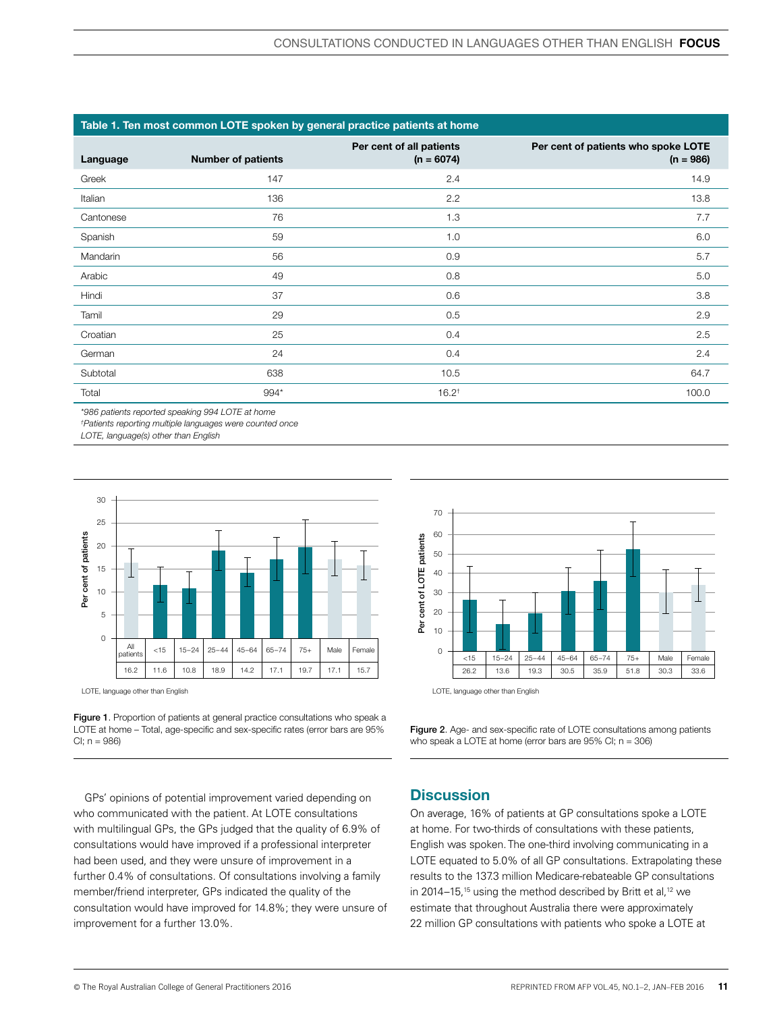| Table 1. Ten most common LOTE spoken by general practice patients at home |                           |                                          |                                                    |  |  |
|---------------------------------------------------------------------------|---------------------------|------------------------------------------|----------------------------------------------------|--|--|
| Language                                                                  | <b>Number of patients</b> | Per cent of all patients<br>$(n = 6074)$ | Per cent of patients who spoke LOTE<br>$(n = 986)$ |  |  |
| Greek                                                                     | 147                       | 2.4                                      | 14.9                                               |  |  |
| Italian                                                                   | 136                       | 2.2                                      | 13.8                                               |  |  |
| Cantonese                                                                 | 76                        | 1.3                                      | 7.7                                                |  |  |
| Spanish                                                                   | 59                        | 1.0                                      | 6.0                                                |  |  |
| Mandarin                                                                  | 56                        | 0.9                                      | 5.7                                                |  |  |
| Arabic                                                                    | 49                        | 0.8                                      | 5.0                                                |  |  |
| Hindi                                                                     | 37                        | 0.6                                      | 3.8                                                |  |  |
| Tamil                                                                     | 29                        | 0.5                                      | 2.9                                                |  |  |
| Croatian                                                                  | 25                        | 0.4                                      | 2.5                                                |  |  |
| German                                                                    | 24                        | 0.4                                      | 2.4                                                |  |  |
| Subtotal                                                                  | 638                       | 10.5                                     | 64.7                                               |  |  |
| Total                                                                     | 994*                      | $16.2^+$                                 | 100.0                                              |  |  |

*\*986 patients reported speaking 994 LOTE at home*

*† Patients reporting multiple languages were counted once*

*LOTE, language(s) other than English*



LOTE, language other than English





Figure 2. Age- and sex-specific rate of LOTE consultations among patients

who speak a LOTE at home (error bars are 95% CI; n = 306)

GPs' opinions of potential improvement varied depending on who communicated with the patient. At LOTE consultations with multilingual GPs, the GPs judged that the quality of 6.9% of consultations would have improved if a professional interpreter had been used, and they were unsure of improvement in a further 0.4% of consultations. Of consultations involving a family member/friend interpreter, GPs indicated the quality of the consultation would have improved for 14.8%; they were unsure of improvement for a further 13.0%.

## **Discussion**

On average, 16% of patients at GP consultations spoke a LOTE at home. For two-thirds of consultations with these patients, English was spoken. The one-third involving communicating in a LOTE equated to 5.0% of all GP consultations. Extrapolating these results to the 137.3 million Medicare-rebateable GP consultations in 2014–15,<sup>15</sup> using the method described by Britt et al,<sup>12</sup> we estimate that throughout Australia there were approximately 22 million GP consultations with patients who spoke a LOTE at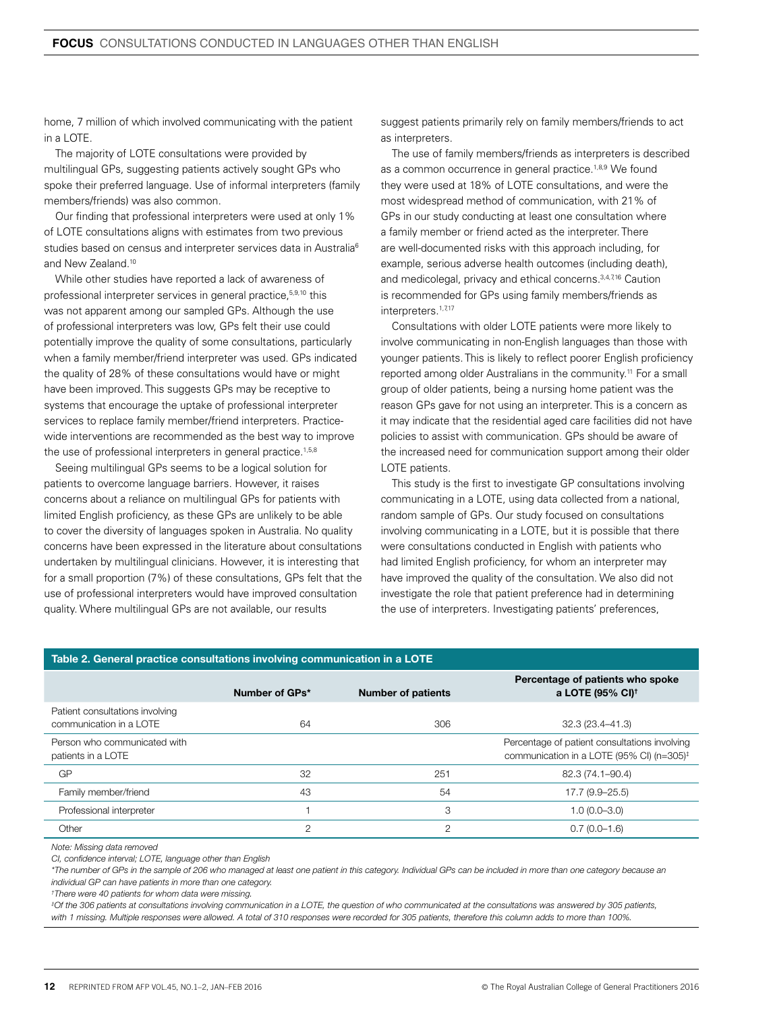home, 7 million of which involved communicating with the patient in a LOTE.

The majority of LOTE consultations were provided by multilingual GPs, suggesting patients actively sought GPs who spoke their preferred language. Use of informal interpreters (family members/friends) was also common.

Our finding that professional interpreters were used at only 1% of LOTE consultations aligns with estimates from two previous studies based on census and interpreter services data in Australia<sup>6</sup> and New Zealand.10

While other studies have reported a lack of awareness of professional interpreter services in general practice,<sup>5,9,10</sup> this was not apparent among our sampled GPs. Although the use of professional interpreters was low, GPs felt their use could potentially improve the quality of some consultations, particularly when a family member/friend interpreter was used. GPs indicated the quality of 28% of these consultations would have or might have been improved. This suggests GPs may be receptive to systems that encourage the uptake of professional interpreter services to replace family member/friend interpreters. Practicewide interventions are recommended as the best way to improve the use of professional interpreters in general practice.<sup>1,5,8</sup>

Seeing multilingual GPs seems to be a logical solution for patients to overcome language barriers. However, it raises concerns about a reliance on multilingual GPs for patients with limited English proficiency, as these GPs are unlikely to be able to cover the diversity of languages spoken in Australia. No quality concerns have been expressed in the literature about consultations undertaken by multilingual clinicians. However, it is interesting that for a small proportion (7%) of these consultations, GPs felt that the use of professional interpreters would have improved consultation quality. Where multilingual GPs are not available, our results

suggest patients primarily rely on family members/friends to act as interpreters.

The use of family members/friends as interpreters is described as a common occurrence in general practice.<sup>1,8,9</sup> We found they were used at 18% of LOTE consultations, and were the most widespread method of communication, with 21% of GPs in our study conducting at least one consultation where a family member or friend acted as the interpreter. There are well-documented risks with this approach including, for example, serious adverse health outcomes (including death), and medicolegal, privacy and ethical concerns.<sup>3,4,7,16</sup> Caution is recommended for GPs using family members/friends as interpreters.<sup>1,7,17</sup>

Consultations with older LOTE patients were more likely to involve communicating in non-English languages than those with younger patients. This is likely to reflect poorer English proficiency reported among older Australians in the community.11 For a small group of older patients, being a nursing home patient was the reason GPs gave for not using an interpreter. This is a concern as it may indicate that the residential aged care facilities did not have policies to assist with communication. GPs should be aware of the increased need for communication support among their older LOTE patients.

This study is the first to investigate GP consultations involving communicating in a LOTE, using data collected from a national, random sample of GPs. Our study focused on consultations involving communicating in a LOTE, but it is possible that there were consultations conducted in English with patients who had limited English proficiency, for whom an interpreter may have improved the quality of the consultation. We also did not investigate the role that patient preference had in determining the use of interpreters. Investigating patients' preferences,

| Table 2. General practice consultations involving communication in a LOTE |                |                           |                                                                                                        |  |  |  |
|---------------------------------------------------------------------------|----------------|---------------------------|--------------------------------------------------------------------------------------------------------|--|--|--|
|                                                                           | Number of GPs* | <b>Number of patients</b> | Percentage of patients who spoke<br>a LOTE (95% CI) <sup>†</sup>                                       |  |  |  |
| Patient consultations involving<br>communication in a LOTE                | 64             | 306                       | 32.3 (23.4-41.3)                                                                                       |  |  |  |
| Person who communicated with<br>patients in a LOTE                        |                |                           | Percentage of patient consultations involving<br>communication in a LOTE (95% CI) (n=305) <sup>‡</sup> |  |  |  |
| GP                                                                        | 32             | 251                       | 82.3 (74.1-90.4)                                                                                       |  |  |  |
| Family member/friend                                                      | 43             | 54                        | 17.7 (9.9-25.5)                                                                                        |  |  |  |
| Professional interpreter                                                  |                | 3                         | $1.0(0.0 - 3.0)$                                                                                       |  |  |  |
| Other                                                                     | 2              | 2                         | $0.7(0.0 - 1.6)$                                                                                       |  |  |  |

*Note: Missing data removed*

*CI, confidence interval; LOTE, language other than English*

*\*The number of GPs in the sample of 206 who managed at least one patient in this category. Individual GPs can be included in more than one category because an individual GP can have patients in more than one category.* 

*† There were 40 patients for whom data were missing.* 

*‡ Of the 306 patients at consultations involving communication in a LOTE, the question of who communicated at the consultations was answered by 305 patients, with 1 missing. Multiple responses were allowed. A total of 310 responses were recorded for 305 patients, therefore this column adds to more than 100%.*